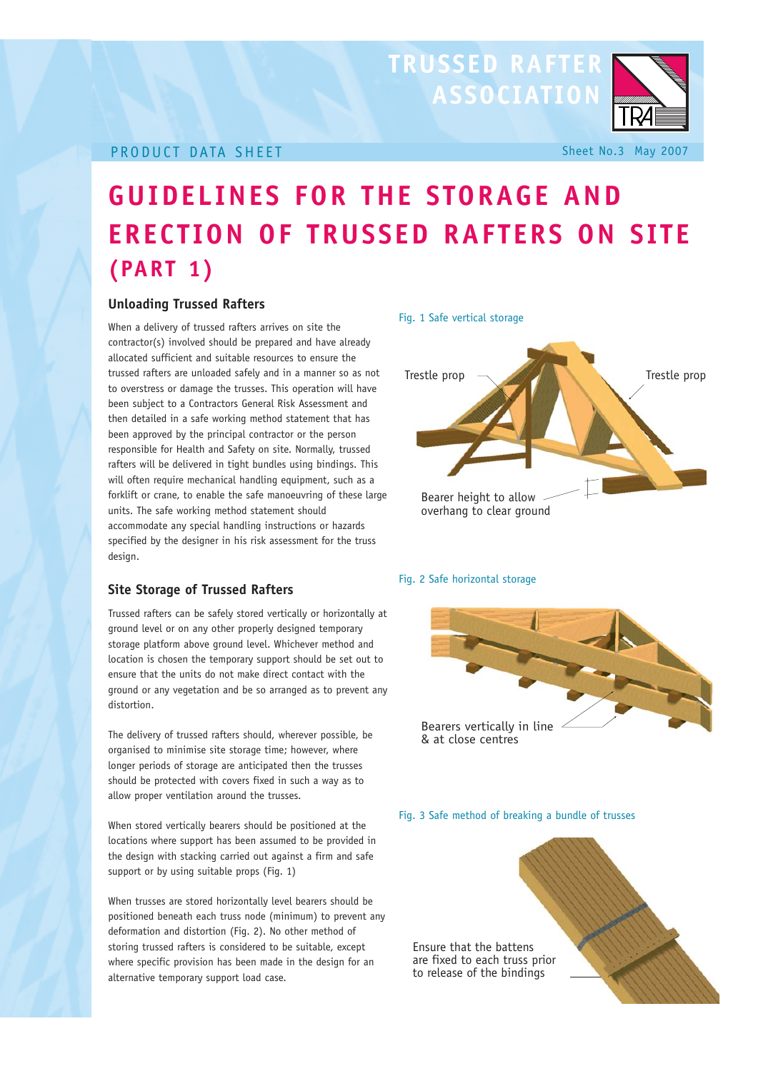## **TRUSSED RAFTER ASSOCIATION**



## **PRODUCT DATA SHEET** Sheet No.3 May 2007

# **GUIDELINES FOR THE STORAGE AND ERECTION OF TRUSSED RAFTERS ON SITE (PART 1)**

### **Unloading Trussed Rafters**

When a delivery of trussed rafters arrives on site the contractor(s) involved should be prepared and have already allocated sufficient and suitable resources to ensure the trussed rafters are unloaded safely and in a manner so as not to overstress or damage the trusses. This operation will have been subject to a Contractors General Risk Assessment and then detailed in a safe working method statement that has been approved by the principal contractor or the person responsible for Health and Safety on site. Normally, trussed rafters will be delivered in tight bundles using bindings. This will often require mechanical handling equipment, such as a forklift or crane, to enable the safe manoeuvring of these large units. The safe working method statement should accommodate any special handling instructions or hazards specified by the designer in his risk assessment for the truss design.

## **Site Storage of Trussed Rafters**

Trussed rafters can be safely stored vertically or horizontally at ground level or on any other properly designed temporary storage platform above ground level. Whichever method and location is chosen the temporary support should be set out to ensure that the units do not make direct contact with the ground or any vegetation and be so arranged as to prevent any distortion.

The delivery of trussed rafters should, wherever possible, be organised to minimise site storage time; however, where longer periods of storage are anticipated then the trusses should be protected with covers fixed in such a way as to allow proper ventilation around the trusses.

When stored vertically bearers should be positioned at the locations where support has been assumed to be provided in the design with stacking carried out against a firm and safe support or by using suitable props (Fig. 1)

When trusses are stored horizontally level bearers should be positioned beneath each truss node (minimum) to prevent any deformation and distortion (Fig. 2). No other method of storing trussed rafters is considered to be suitable, except where specific provision has been made in the design for an alternative temporary support load case.



#### Fig. 2 Safe horizontal storage



#### Fig. 3 Safe method of breaking a bundle of trusses

Ensure that the battens are fixed to each truss prior to release of the bindings

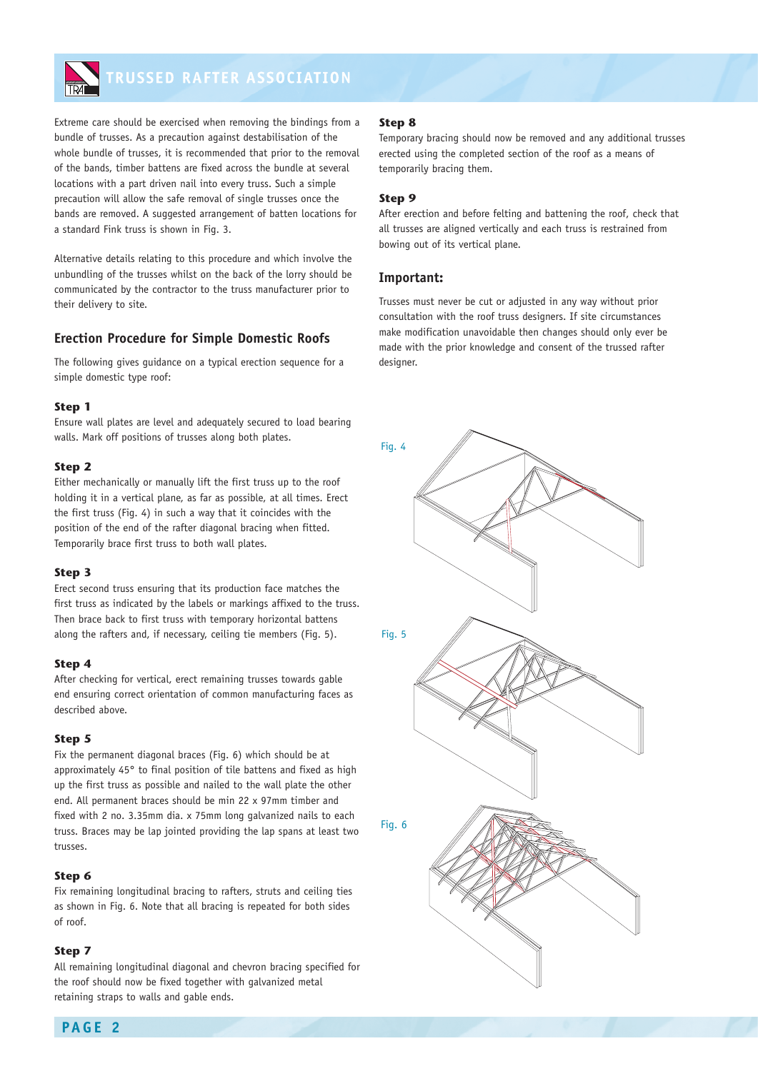

Extreme care should be exercised when removing the bindings from a bundle of trusses. As a precaution against destabilisation of the whole bundle of trusses, it is recommended that prior to the removal of the bands, timber battens are fixed across the bundle at several locations with a part driven nail into every truss. Such a simple precaution will allow the safe removal of single trusses once the bands are removed. A suggested arrangement of batten locations for a standard Fink truss is shown in Fig. 3.

Alternative details relating to this procedure and which involve the unbundling of the trusses whilst on the back of the lorry should be communicated by the contractor to the truss manufacturer prior to their delivery to site.

### **Erection Procedure for Simple Domestic Roofs**

The following gives guidance on a typical erection sequence for a simple domestic type roof:

#### **Step 1**

Ensure wall plates are level and adequately secured to load bearing walls. Mark off positions of trusses along both plates.

#### **Step 2**

Either mechanically or manually lift the first truss up to the roof holding it in a vertical plane, as far as possible, at all times. Erect the first truss (Fig. 4) in such a way that it coincides with the position of the end of the rafter diagonal bracing when fitted. Temporarily brace first truss to both wall plates.

#### **Step 3**

Erect second truss ensuring that its production face matches the first truss as indicated by the labels or markings affixed to the truss. Then brace back to first truss with temporary horizontal battens along the rafters and, if necessary, ceiling tie members (Fig. 5).

#### **Step 4**

After checking for vertical, erect remaining trusses towards gable end ensuring correct orientation of common manufacturing faces as described above.

#### **Step 5**

Fix the permanent diagonal braces (Fig. 6) which should be at approximately 45° to final position of tile battens and fixed as high up the first truss as possible and nailed to the wall plate the other end. All permanent braces should be min 22 x 97mm timber and fixed with 2 no. 3.35mm dia. x 75mm long galvanized nails to each truss. Braces may be lap jointed providing the lap spans at least two trusses.

#### **Step 6**

Fix remaining longitudinal bracing to rafters, struts and ceiling ties as shown in Fig. 6. Note that all bracing is repeated for both sides of roof.

#### **Step 7**

All remaining longitudinal diagonal and chevron bracing specified for the roof should now be fixed together with galvanized metal retaining straps to walls and gable ends.

#### **Step 8**

Temporary bracing should now be removed and any additional trusses erected using the completed section of the roof as a means of temporarily bracing them.

#### **Step 9**

After erection and before felting and battening the roof, check that all trusses are aligned vertically and each truss is restrained from bowing out of its vertical plane.

#### **Important:**

Trusses must never be cut or adjusted in any way without prior consultation with the roof truss designers. If site circumstances make modification unavoidable then changes should only ever be made with the prior knowledge and consent of the trussed rafter designer.

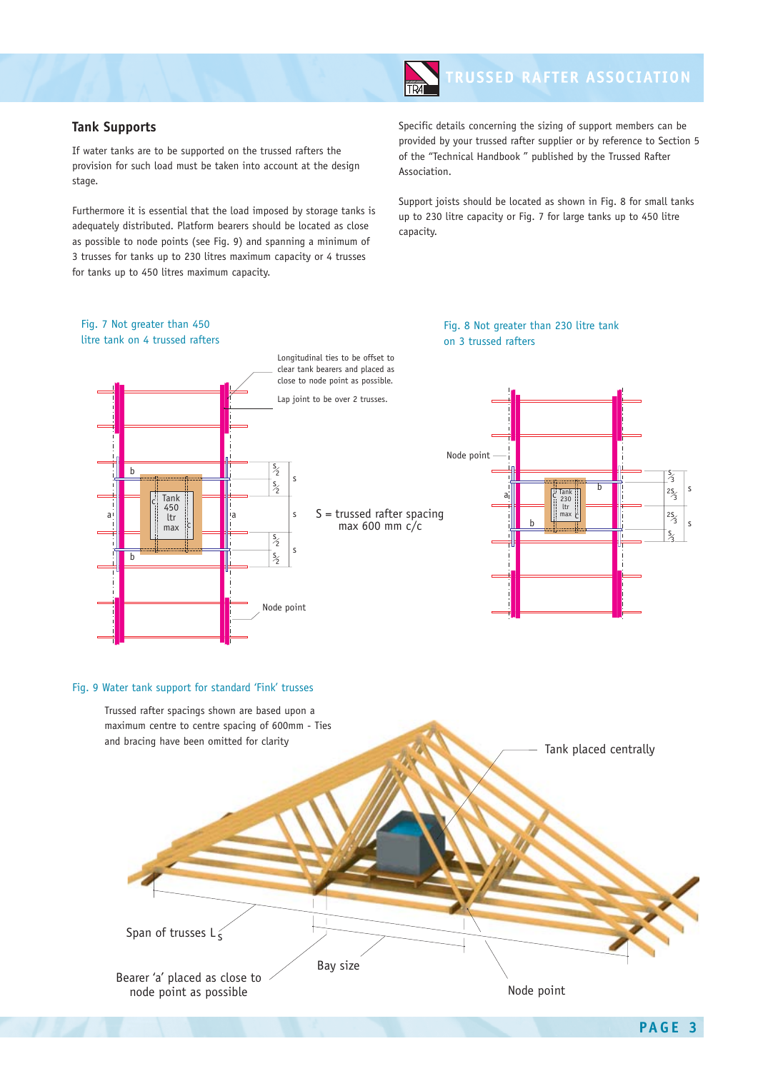**TRUSSED RAFTER ASSOCIATION** 

#### **Tank Supports**

If water tanks are to be supported on the trussed rafters the provision for such load must be taken into account at the design stage.

Furthermore it is essential that the load imposed by storage tanks is adequately distributed. Platform bearers should be located as close as possible to node points (see Fig. 9) and spanning a minimum of 3 trusses for tanks up to 230 litres maximum capacity or 4 trusses for tanks up to 450 litres maximum capacity.

Specific details concerning the sizing of support members can be provided by your trussed rafter supplier or by reference to Section 5 of the "Technical Handbook " published by the Trussed Rafter Association.

Support joists should be located as shown in Fig. 8 for small tanks up to 230 litre capacity or Fig. 7 for large tanks up to 450 litre capacity.



#### Fig. 9 Water tank support for standard 'Fink' trusses



s

s 3

2s 3  $\frac{25}{3}$ 

s 3 s